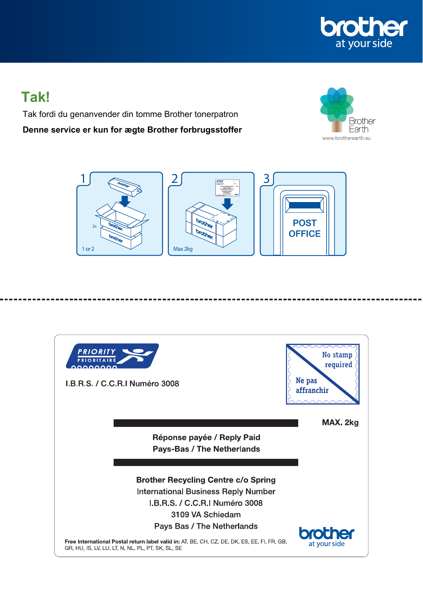

## **Tak!**

Tak fordi du genanvender din tomme Brother tonerpatron **Denne service er kun for ægte Brother forbrugsstoffer**